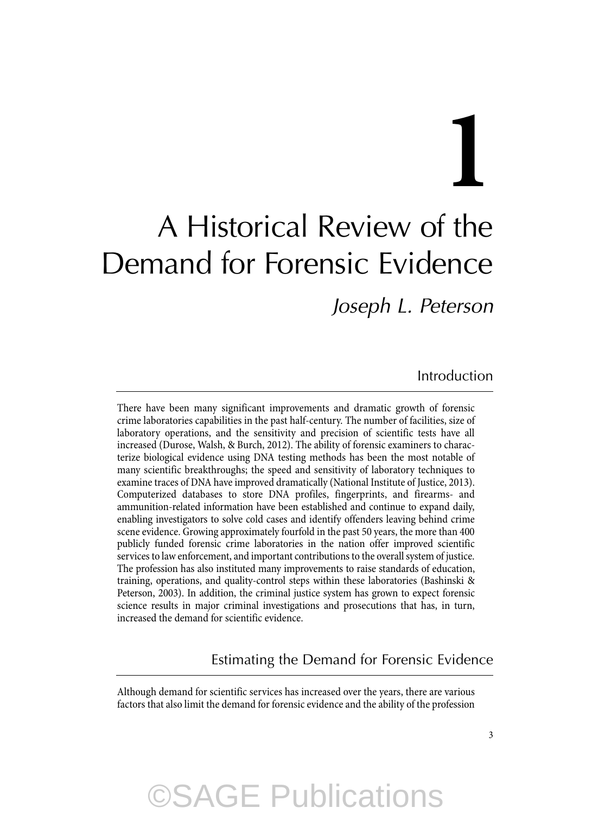# **1** A Historical Review of the Demand for Forensic Evidence

*Joseph L. Peterson* 

Introduction

 There have been many significant improvements and dramatic growth of forensic crime laboratories capabilities in the past half-century. The number of facilities, size of laboratory operations, and the sensitivity and precision of scientific tests have all increased (Durose, Walsh, & Burch, 2012). The ability of forensic examiners to characterize biological evidence using DNA testing methods has been the most notable of many scientific breakthroughs; the speed and sensitivity of laboratory techniques to examine traces of DNA have improved dramatically (National Institute of Justice, 2013). Computerized databases to store DNA profiles, fingerprints, and firearms- and ammunition-related information have been established and continue to expand daily, enabling investigators to solve cold cases and identify offenders leaving behind crime scene evidence. Growing approximately fourfold in the past 50 years, the more than 400 publicly funded forensic crime laboratories in the nation offer improved scientific services to law enforcement, and important contributions to the overall system of justice. The profession has also instituted many improvements to raise standards of education, training, operations, and quality-control steps within these laboratories (Bashinski & Peterson, 2003). In addition, the criminal justice system has grown to expect forensic science results in major criminal investigations and prosecutions that has, in turn, increased the demand for scientific evidence.

Estimating the Demand for Forensic Evidence

 Although demand for scientific services has increased over the years, there are various factors that also limit the demand for forensic evidence and the ability of the profession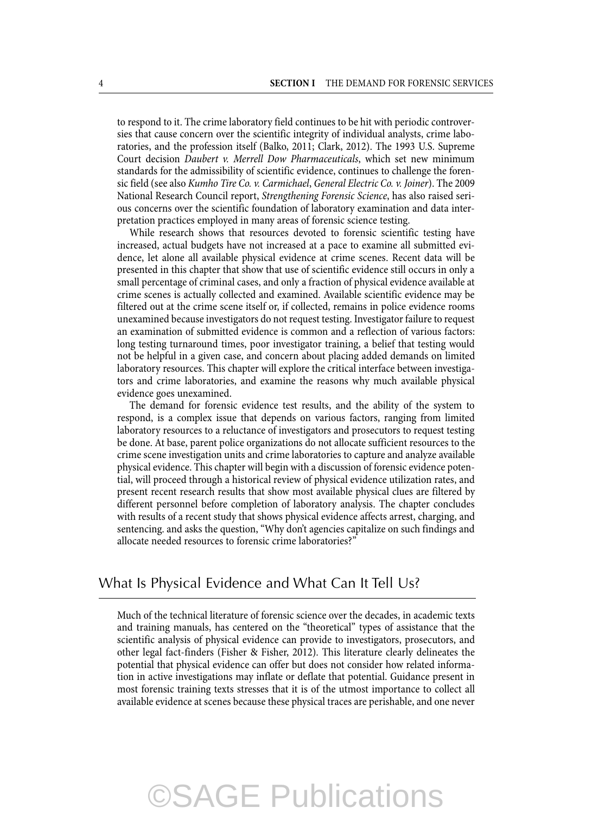to respond to it. The crime laboratory field continues to be hit with periodic controversies that cause concern over the scientific integrity of individual analysts, crime laboratories, and the profession itself (Balko, 2011; Clark, 2012). The 1993 U.S. Supreme Court decision *Daubert v. Merrell Dow Pharmaceuticals* , which set new minimum standards for the admissibility of scientific evidence, continues to challenge the forensic field (see also *Kumho Tire Co. v. Carmichael* , *General Electric Co. v. Joiner* ). The 2009 National Research Council report, *Strengthening Forensic Science* , has also raised serious concerns over the scientific foundation of laboratory examination and data interpretation practices employed in many areas of forensic science testing.

 While research shows that resources devoted to forensic scientific testing have increased, actual budgets have not increased at a pace to examine all submitted evidence, let alone all available physical evidence at crime scenes. Recent data will be presented in this chapter that show that use of scientific evidence still occurs in only a small percentage of criminal cases, and only a fraction of physical evidence available at crime scenes is actually collected and examined. Available scientific evidence may be filtered out at the crime scene itself or, if collected, remains in police evidence rooms unexamined because investigators do not request testing. Investigator failure to request an examination of submitted evidence is common and a reflection of various factors: long testing turnaround times, poor investigator training, a belief that testing would not be helpful in a given case, and concern about placing added demands on limited laboratory resources. This chapter will explore the critical interface between investigators and crime laboratories, and examine the reasons why much available physical evidence goes unexamined.

 The demand for forensic evidence test results, and the ability of the system to respond, is a complex issue that depends on various factors, ranging from limited laboratory resources to a reluctance of investigators and prosecutors to request testing be done. At base, parent police organizations do not allocate sufficient resources to the crime scene investigation units and crime laboratories to capture and analyze available physical evidence. This chapter will begin with a discussion of forensic evidence potential, will proceed through a historical review of physical evidence utilization rates, and present recent research results that show most available physical clues are filtered by different personnel before completion of laboratory analysis. The chapter concludes with results of a recent study that shows physical evidence affects arrest, charging, and sentencing. and asks the question, "Why don't agencies capitalize on such findings and allocate needed resources to forensic crime laboratories?"

### What Is Physical Evidence and What Can It Tell Us?

 Much of the technical literature of forensic science over the decades, in academic texts and training manuals, has centered on the "theoretical" types of assistance that the scientific analysis of physical evidence can provide to investigators, prosecutors, and other legal fact-finders (Fisher & Fisher, 2012). This literature clearly delineates the potential that physical evidence can offer but does not consider how related information in active investigations may inflate or deflate that potential. Guidance present in most forensic training texts stresses that it is of the utmost importance to collect all available evidence at scenes because these physical traces are perishable, and one never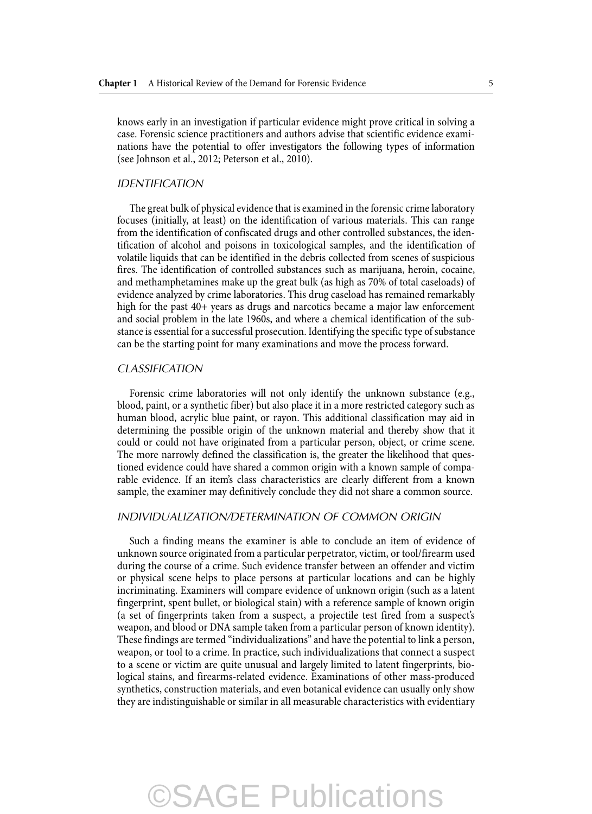knows early in an investigation if particular evidence might prove critical in solving a case. Forensic science practitioners and authors advise that scientific evidence examinations have the potential to offer investigators the following types of information (see Johnson et al., 2012; Peterson et al., 2010).

#### *IDENTIFICATION*

 The great bulk of physical evidence that is examined in the forensic crime laboratory focuses (initially, at least) on the identification of various materials. This can range from the identification of confiscated drugs and other controlled substances, the identification of alcohol and poisons in toxicological samples, and the identification of volatile liquids that can be identified in the debris collected from scenes of suspicious fires. The identification of controlled substances such as marijuana, heroin, cocaine, and methamphetamines make up the great bulk (as high as 70% of total caseloads) of evidence analyzed by crime laboratories. This drug caseload has remained remarkably high for the past  $40+$  years as drugs and narcotics became a major law enforcement and social problem in the late 1960s, and where a chemical identification of the substance is essential for a successful prosecution. Identifying the specific type of substance can be the starting point for many examinations and move the process forward.

#### *CLASSIFICATION*

 Forensic crime laboratories will not only identify the unknown substance (e.g., blood, paint, or a synthetic fiber) but also place it in a more restricted category such as human blood, acrylic blue paint, or rayon. This additional classification may aid in determining the possible origin of the unknown material and thereby show that it could or could not have originated from a particular person, object, or crime scene. The more narrowly defined the classification is, the greater the likelihood that questioned evidence could have shared a common origin with a known sample of comparable evidence. If an item's class characteristics are clearly different from a known sample, the examiner may definitively conclude they did not share a common source.

#### *INDIVIDUALIZATION/DETERMINATION OF COMMON ORIGIN*

 Such a finding means the examiner is able to conclude an item of evidence of unknown source originated from a particular perpetrator, victim, or tool/firearm used during the course of a crime. Such evidence transfer between an offender and victim or physical scene helps to place persons at particular locations and can be highly incriminating. Examiners will compare evidence of unknown origin (such as a latent fingerprint, spent bullet, or biological stain) with a reference sample of known origin (a set of fingerprints taken from a suspect, a projectile test fired from a suspect's weapon, and blood or DNA sample taken from a particular person of known identity). These findings are termed "individualizations" and have the potential to link a person, weapon, or tool to a crime. In practice, such individualizations that connect a suspect to a scene or victim are quite unusual and largely limited to latent fingerprints, biological stains, and firearms-related evidence. Examinations of other mass-produced synthetics, construction materials, and even botanical evidence can usually only show they are indistinguishable or similar in all measurable characteristics with evidentiary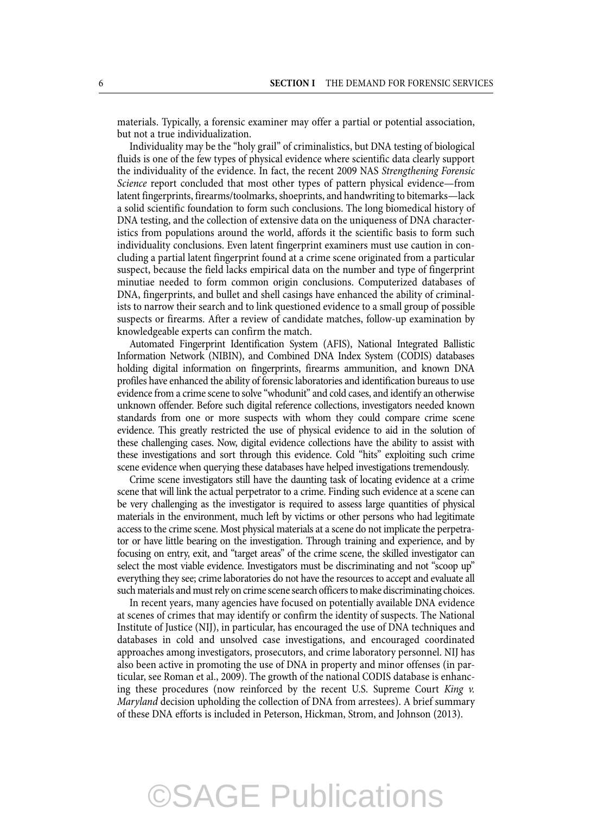materials. Typically, a forensic examiner may offer a partial or potential association, but not a true individualization.

 Individuality may be the "holy grail" of criminalistics, but DNA testing of biological fluids is one of the few types of physical evidence where scientific data clearly support the individuality of the evidence. In fact, the recent 2009 NAS *Strengthening Forensic Science* report concluded that most other types of pattern physical evidence—from latent fingerprints, firearms/toolmarks, shoeprints, and handwriting to bitemarks—lack a solid scientific foundation to form such conclusions. The long biomedical history of DNA testing, and the collection of extensive data on the uniqueness of DNA characteristics from populations around the world, affords it the scientific basis to form such individuality conclusions. Even latent fingerprint examiners must use caution in concluding a partial latent fingerprint found at a crime scene originated from a particular suspect, because the field lacks empirical data on the number and type of fingerprint minutiae needed to form common origin conclusions. Computerized databases of DNA, fingerprints, and bullet and shell casings have enhanced the ability of criminalists to narrow their search and to link questioned evidence to a small group of possible suspects or firearms. After a review of candidate matches, follow-up examination by knowledgeable experts can confirm the match.

 Automated Fingerprint Identification System (AFIS), National Integrated Ballistic Information Network (NIBIN), and Combined DNA Index System (CODIS) databases holding digital information on fingerprints, firearms ammunition, and known DNA profiles have enhanced the ability of forensic laboratories and identification bureaus to use evidence from a crime scene to solve "whodunit" and cold cases, and identify an otherwise unknown offender. Before such digital reference collections, investigators needed known standards from one or more suspects with whom they could compare crime scene evidence. This greatly restricted the use of physical evidence to aid in the solution of these challenging cases. Now, digital evidence collections have the ability to assist with these investigations and sort through this evidence. Cold "hits" exploiting such crime scene evidence when querying these databases have helped investigations tremendously.

 Crime scene investigators still have the daunting task of locating evidence at a crime scene that will link the actual perpetrator to a crime. Finding such evidence at a scene can be very challenging as the investigator is required to assess large quantities of physical materials in the environment, much left by victims or other persons who had legitimate access to the crime scene. Most physical materials at a scene do not implicate the perpetrator or have little bearing on the investigation. Through training and experience, and by focusing on entry, exit, and "target areas" of the crime scene, the skilled investigator can select the most viable evidence. Investigators must be discriminating and not "scoop up" everything they see; crime laboratories do not have the resources to accept and evaluate all such materials and must rely on crime scene search officers to make discriminating choices.

 In recent years, many agencies have focused on potentially available DNA evidence at scenes of crimes that may identify or confirm the identity of suspects. The National Institute of Justice (NIJ), in particular, has encouraged the use of DNA techniques and databases in cold and unsolved case investigations, and encouraged coordinated approaches among investigators, prosecutors, and crime laboratory personnel. NIJ has also been active in promoting the use of DNA in property and minor offenses (in particular, see Roman et al., 2009). The growth of the national CODIS database is enhancing these procedures (now reinforced by the recent U.S. Supreme Court *King v. Maryland* decision upholding the collection of DNA from arrestees). A brief summary of these DNA efforts is included in Peterson, Hickman, Strom, and Johnson (2013).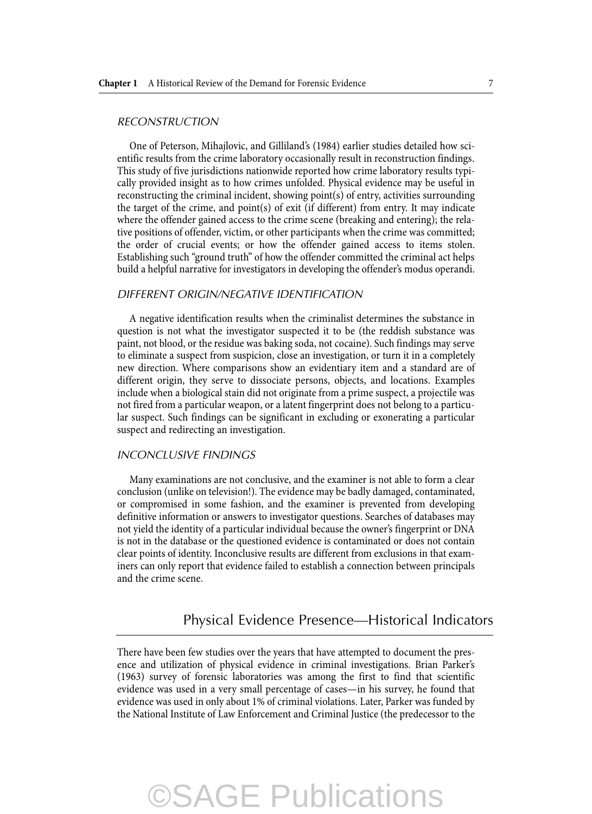#### *RECONSTRUCTION*

 One of Peterson, Mihajlovic, and Gilliland's (1984) earlier studies detailed how scientific results from the crime laboratory occasionally result in reconstruction findings. This study of five jurisdictions nationwide reported how crime laboratory results typically provided insight as to how crimes unfolded. Physical evidence may be useful in reconstructing the criminal incident, showing point(s) of entry, activities surrounding the target of the crime, and point(s) of exit (if different) from entry. It may indicate where the offender gained access to the crime scene (breaking and entering); the relative positions of offender, victim, or other participants when the crime was committed; the order of crucial events; or how the offender gained access to items stolen. Establishing such "ground truth" of how the offender committed the criminal act helps build a helpful narrative for investigators in developing the offender's modus operandi.

#### *DIFFERENT ORIGIN/NEGATIVE IDENTIFICATION*

 A negative identification results when the criminalist determines the substance in question is not what the investigator suspected it to be (the reddish substance was paint, not blood, or the residue was baking soda, not cocaine). Such findings may serve to eliminate a suspect from suspicion, close an investigation, or turn it in a completely new direction. Where comparisons show an evidentiary item and a standard are of different origin, they serve to dissociate persons, objects, and locations. Examples include when a biological stain did not originate from a prime suspect, a projectile was not fired from a particular weapon, or a latent fingerprint does not belong to a particular suspect. Such findings can be significant in excluding or exonerating a particular suspect and redirecting an investigation.

#### *INCONCLUSIVE FINDINGS*

 Many examinations are not conclusive, and the examiner is not able to form a clear conclusion (unlike on television!). The evidence may be badly damaged, contaminated, or compromised in some fashion, and the examiner is prevented from developing definitive information or answers to investigator questions. Searches of databases may not yield the identity of a particular individual because the owner's fingerprint or DNA is not in the database or the questioned evidence is contaminated or does not contain clear points of identity. Inconclusive results are different from exclusions in that examiners can only report that evidence failed to establish a connection between principals and the crime scene.

### Physical Evidence Presence—Historical Indicators

 There have been few studies over the years that have attempted to document the presence and utilization of physical evidence in criminal investigations. Brian Parker's (1963) survey of forensic laboratories was among the first to find that scientific evidence was used in a very small percentage of cases—in his survey, he found that evidence was used in only about 1% of criminal violations. Later, Parker was funded by the National Institute of Law Enforcement and Criminal Justice (the predecessor to the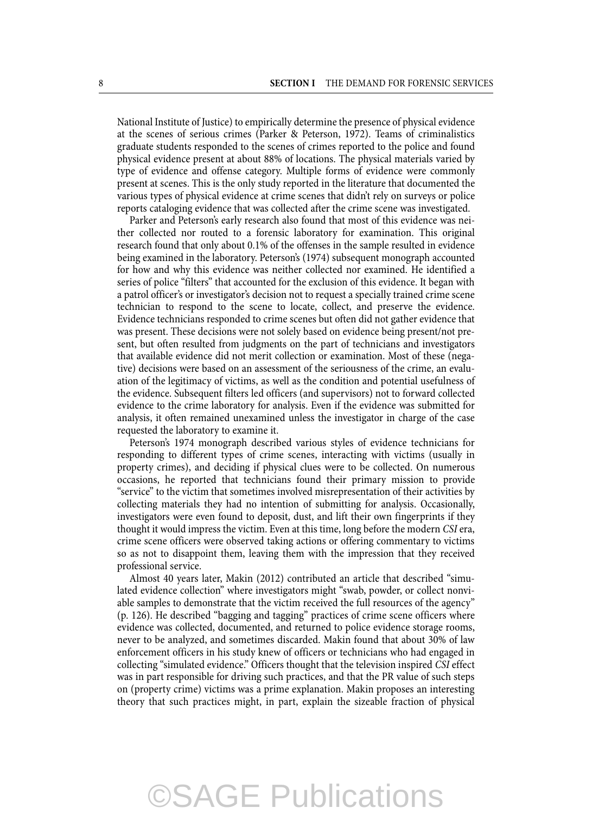National Institute of Justice) to empirically determine the presence of physical evidence at the scenes of serious crimes (Parker & Peterson, 1972). Teams of criminalistics graduate students responded to the scenes of crimes reported to the police and found physical evidence present at about 88% of locations. The physical materials varied by type of evidence and offense category. Multiple forms of evidence were commonly present at scenes. This is the only study reported in the literature that documented the various types of physical evidence at crime scenes that didn't rely on surveys or police reports cataloging evidence that was collected after the crime scene was investigated.

 Parker and Peterson's early research also found that most of this evidence was neither collected nor routed to a forensic laboratory for examination. This original research found that only about 0.1% of the offenses in the sample resulted in evidence being examined in the laboratory. Peterson's (1974) subsequent monograph accounted for how and why this evidence was neither collected nor examined. He identified a series of police "filters" that accounted for the exclusion of this evidence. It began with a patrol officer's or investigator's decision not to request a specially trained crime scene technician to respond to the scene to locate, collect, and preserve the evidence. Evidence technicians responded to crime scenes but often did not gather evidence that was present. These decisions were not solely based on evidence being present/not present, but often resulted from judgments on the part of technicians and investigators that available evidence did not merit collection or examination. Most of these (negative) decisions were based on an assessment of the seriousness of the crime, an evaluation of the legitimacy of victims, as well as the condition and potential usefulness of the evidence. Subsequent filters led officers (and supervisors) not to forward collected evidence to the crime laboratory for analysis. Even if the evidence was submitted for analysis, it often remained unexamined unless the investigator in charge of the case requested the laboratory to examine it.

 Peterson's 1974 monograph described various styles of evidence technicians for responding to different types of crime scenes, interacting with victims (usually in property crimes), and deciding if physical clues were to be collected. On numerous occasions, he reported that technicians found their primary mission to provide "service" to the victim that sometimes involved misrepresentation of their activities by collecting materials they had no intention of submitting for analysis. Occasionally, investigators were even found to deposit, dust, and lift their own fingerprints if they thought it would impress the victim. Even at this time, long before the modern *CSI* era, crime scene officers were observed taking actions or offering commentary to victims so as not to disappoint them, leaving them with the impression that they received professional service.

 Almost 40 years later, Makin (2012) contributed an article that described "simulated evidence collection" where investigators might "swab, powder, or collect nonviable samples to demonstrate that the victim received the full resources of the agency" (p. 126). He described "bagging and tagging" practices of crime scene officers where evidence was collected, documented, and returned to police evidence storage rooms, never to be analyzed, and sometimes discarded. Makin found that about 30% of law enforcement officers in his study knew of officers or technicians who had engaged in collecting "simulated evidence." Officers thought that the television inspired *CSI* effect was in part responsible for driving such practices, and that the PR value of such steps on (property crime) victims was a prime explanation. Makin proposes an interesting theory that such practices might, in part, explain the sizeable fraction of physical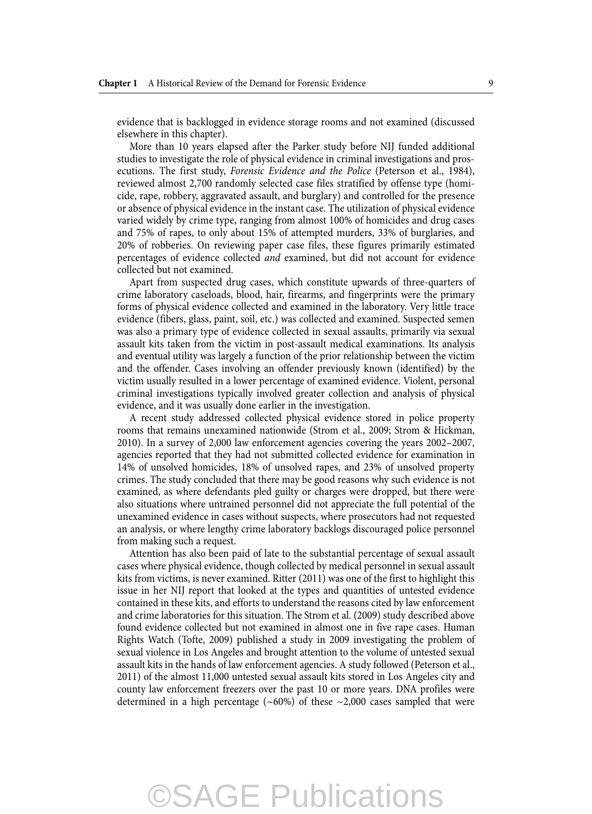evidence that is backlogged in evidence storage rooms and not examined (discussed elsewhere in this chapter).

 More than 10 years elapsed after the Parker study before NIJ funded additional studies to investigate the role of physical evidence in criminal investigations and prosecutions. The first study, *Forensic Evidence and the Police* (Peterson et al., 1984), reviewed almost 2,700 randomly selected case files stratified by offense type (homicide, rape, robbery, aggravated assault, and burglary) and controlled for the presence or absence of physical evidence in the instant case. The utilization of physical evidence varied widely by crime type, ranging from almost 100% of homicides and drug cases and 75% of rapes, to only about 15% of attempted murders, 33% of burglaries, and 20% of robberies. On reviewing paper case files, these figures primarily estimated percentages of evidence collected *and* examined, but did not account for evidence collected but not examined.

 Apart from suspected drug cases, which constitute upwards of three-quarters of crime laboratory caseloads, blood, hair, firearms, and fingerprints were the primary forms of physical evidence collected and examined in the laboratory. Very little trace evidence (fibers, glass, paint, soil, etc.) was collected and examined. Suspected semen was also a primary type of evidence collected in sexual assaults, primarily via sexual assault kits taken from the victim in post-assault medical examinations. Its analysis and eventual utility was largely a function of the prior relationship between the victim and the offender. Cases involving an offender previously known (identified) by the victim usually resulted in a lower percentage of examined evidence. Violent, personal criminal investigations typically involved greater collection and analysis of physical evidence, and it was usually done earlier in the investigation.

 A recent study addressed collected physical evidence stored in police property rooms that remains unexamined nationwide (Strom et al., 2009; Strom & Hickman, 2010). In a survey of 2,000 law enforcement agencies covering the years 2002–2007, agencies reported that they had not submitted collected evidence for examination in 14% of unsolved homicides, 18% of unsolved rapes, and 23% of unsolved property crimes. The study concluded that there may be good reasons why such evidence is not examined, as where defendants pled guilty or charges were dropped, but there were also situations where untrained personnel did not appreciate the full potential of the unexamined evidence in cases without suspects, where prosecutors had not requested an analysis, or where lengthy crime laboratory backlogs discouraged police personnel from making such a request.

 Attention has also been paid of late to the substantial percentage of sexual assault cases where physical evidence, though collected by medical personnel in sexual assault kits from victims, is never examined. Ritter (2011) was one of the first to highlight this issue in her NIJ report that looked at the types and quantities of untested evidence contained in these kits, and efforts to understand the reasons cited by law enforcement and crime laboratories for this situation. The Strom et al. (2009) study described above found evidence collected but not examined in almost one in five rape cases. Human Rights Watch (Tofte, 2009) published a study in 2009 investigating the problem of sexual violence in Los Angeles and brought attention to the volume of untested sexual assault kits in the hands of law enforcement agencies. A study followed (Peterson et al., 2011) of the almost 11,000 untested sexual assault kits stored in Los Angeles city and county law enforcement freezers over the past 10 or more years. DNA profiles were determined in a high percentage ( $\sim$ 60%) of these  $\sim$ 2,000 cases sampled that were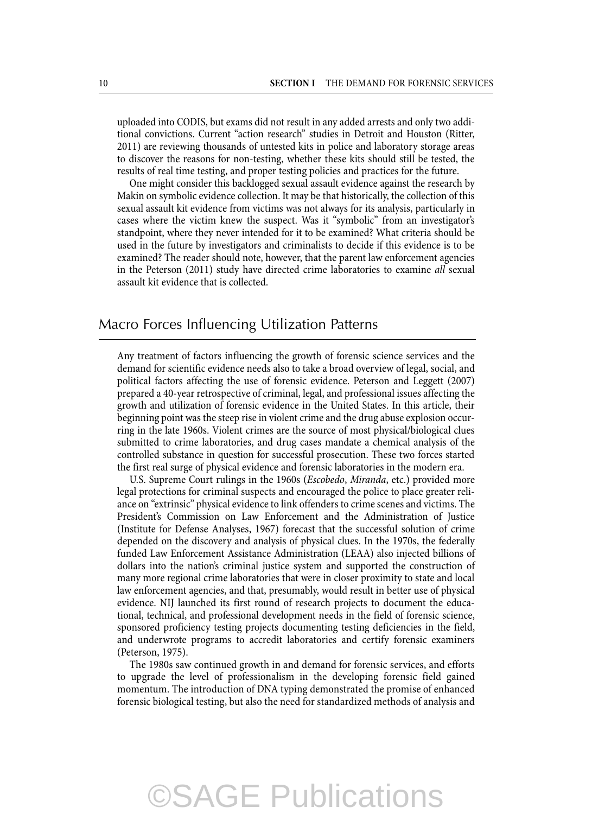uploaded into CODIS, but exams did not result in any added arrests and only two additional convictions. Current "action research" studies in Detroit and Houston (Ritter, 2011) are reviewing thousands of untested kits in police and laboratory storage areas to discover the reasons for non-testing, whether these kits should still be tested, the results of real time testing, and proper testing policies and practices for the future.

 One might consider this backlogged sexual assault evidence against the research by Makin on symbolic evidence collection. It may be that historically, the collection of this sexual assault kit evidence from victims was not always for its analysis, particularly in cases where the victim knew the suspect. Was it "symbolic" from an investigator's standpoint, where they never intended for it to be examined? What criteria should be used in the future by investigators and criminalists to decide if this evidence is to be examined? The reader should note, however, that the parent law enforcement agencies in the Peterson (2011) study have directed crime laboratories to examine *all* sexual assault kit evidence that is collected.

### Macro Forces Influencing Utilization Patterns

 Any treatment of factors influencing the growth of forensic science services and the demand for scientific evidence needs also to take a broad overview of legal, social, and political factors affecting the use of forensic evidence. Peterson and Leggett (2007) prepared a 40-year retrospective of criminal, legal, and professional issues affecting the growth and utilization of forensic evidence in the United States. In this article, their beginning point was the steep rise in violent crime and the drug abuse explosion occurring in the late 1960s. Violent crimes are the source of most physical/biological clues submitted to crime laboratories, and drug cases mandate a chemical analysis of the controlled substance in question for successful prosecution. These two forces started the first real surge of physical evidence and forensic laboratories in the modern era.

 U.S. Supreme Court rulings in the 1960s ( *Escobedo* , *Miranda* , etc.) provided more legal protections for criminal suspects and encouraged the police to place greater reliance on "extrinsic" physical evidence to link offenders to crime scenes and victims. The President's Commission on Law Enforcement and the Administration of Justice (Institute for Defense Analyses, 1967) forecast that the successful solution of crime depended on the discovery and analysis of physical clues. In the 1970s, the federally funded Law Enforcement Assistance Administration (LEAA) also injected billions of dollars into the nation's criminal justice system and supported the construction of many more regional crime laboratories that were in closer proximity to state and local law enforcement agencies, and that, presumably, would result in better use of physical evidence. NIJ launched its first round of research projects to document the educational, technical, and professional development needs in the field of forensic science, sponsored proficiency testing projects documenting testing deficiencies in the field, and underwrote programs to accredit laboratories and certify forensic examiners (Peterson, 1975).

 The 1980s saw continued growth in and demand for forensic services, and efforts to upgrade the level of professionalism in the developing forensic field gained momentum. The introduction of DNA typing demonstrated the promise of enhanced forensic biological testing, but also the need for standardized methods of analysis and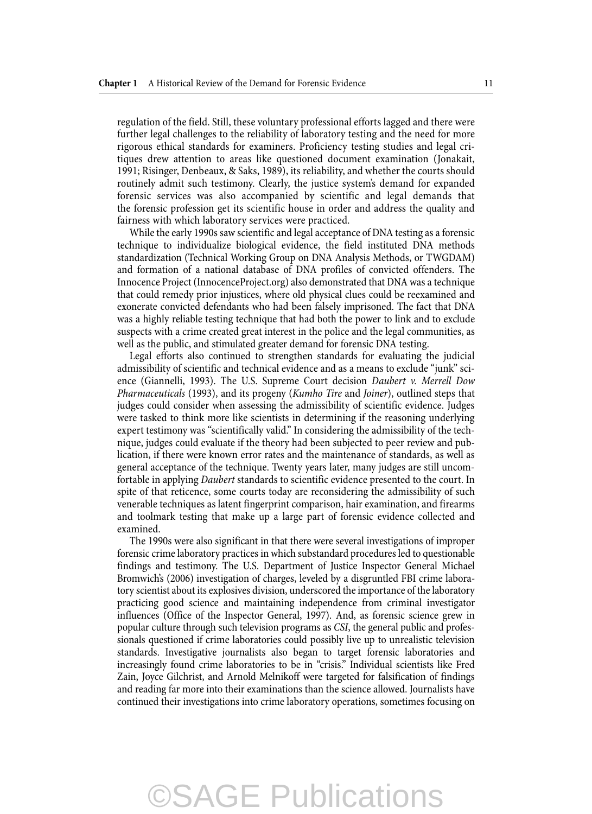regulation of the field. Still, these voluntary professional efforts lagged and there were further legal challenges to the reliability of laboratory testing and the need for more rigorous ethical standards for examiners. Proficiency testing studies and legal critiques drew attention to areas like questioned document examination (Jonakait, 1991; Risinger, Denbeaux, & Saks, 1989), its reliability, and whether the courts should routinely admit such testimony. Clearly, the justice system's demand for expanded forensic services was also accompanied by scientific and legal demands that the forensic profession get its scientific house in order and address the quality and fairness with which laboratory services were practiced.

 While the early 1990s saw scientific and legal acceptance of DNA testing as a forensic technique to individualize biological evidence, the field instituted DNA methods standardization (Technical Working Group on DNA Analysis Methods, or TWGDAM) and formation of a national database of DNA profiles of convicted offenders. The Innocence Project (InnocenceProject.org) also demonstrated that DNA was a technique that could remedy prior injustices, where old physical clues could be reexamined and exonerate convicted defendants who had been falsely imprisoned. The fact that DNA was a highly reliable testing technique that had both the power to link and to exclude suspects with a crime created great interest in the police and the legal communities, as well as the public, and stimulated greater demand for forensic DNA testing.

 Legal efforts also continued to strengthen standards for evaluating the judicial admissibility of scientific and technical evidence and as a means to exclude "junk" science (Giannelli, 1993). The U.S. Supreme Court decision *Daubert v. Merrell Dow Pharmaceuticals* (1993), and its progeny ( *Kumho Tire* and *Joiner* ), outlined steps that judges could consider when assessing the admissibility of scientific evidence. Judges were tasked to think more like scientists in determining if the reasoning underlying expert testimony was "scientifically valid." In considering the admissibility of the technique, judges could evaluate if the theory had been subjected to peer review and publication, if there were known error rates and the maintenance of standards, as well as general acceptance of the technique. Twenty years later, many judges are still uncomfortable in applying *Daubert* standards to scientific evidence presented to the court. In spite of that reticence, some courts today are reconsidering the admissibility of such venerable techniques as latent fingerprint comparison, hair examination, and firearms and toolmark testing that make up a large part of forensic evidence collected and examined.

 The 1990s were also significant in that there were several investigations of improper forensic crime laboratory practices in which substandard procedures led to questionable findings and testimony. The U.S. Department of Justice Inspector General Michael Bromwich's (2006) investigation of charges, leveled by a disgruntled FBI crime laboratory scientist about its explosives division, underscored the importance of the laboratory practicing good science and maintaining independence from criminal investigator influences (Office of the Inspector General, 1997). And, as forensic science grew in popular culture through such television programs as *CSI* , the general public and professionals questioned if crime laboratories could possibly live up to unrealistic television standards. Investigative journalists also began to target forensic laboratories and increasingly found crime laboratories to be in "crisis." Individual scientists like Fred Zain, Joyce Gilchrist, and Arnold Melnikoff were targeted for falsification of findings and reading far more into their examinations than the science allowed. Journalists have continued their investigations into crime laboratory operations, sometimes focusing on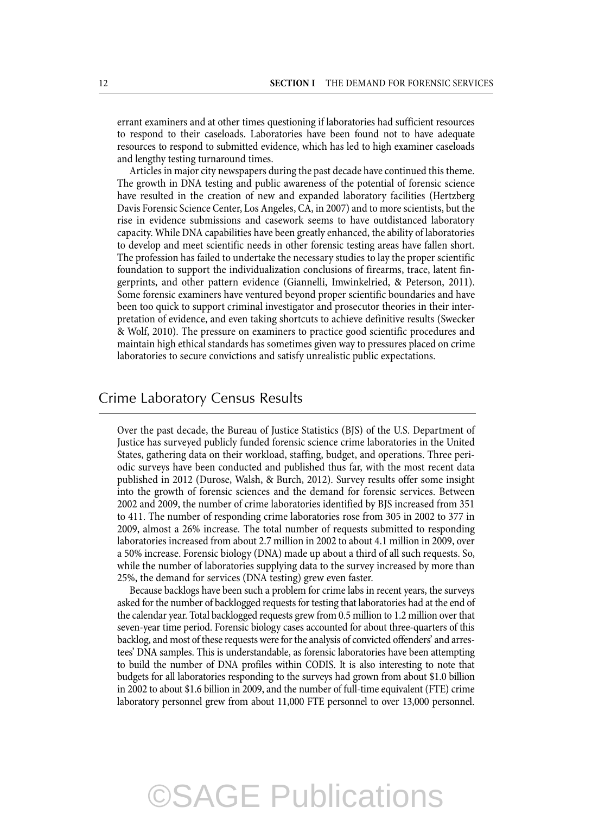errant examiners and at other times questioning if laboratories had sufficient resources to respond to their caseloads. Laboratories have been found not to have adequate resources to respond to submitted evidence, which has led to high examiner caseloads and lengthy testing turnaround times.

 Articles in major city newspapers during the past decade have continued this theme. The growth in DNA testing and public awareness of the potential of forensic science have resulted in the creation of new and expanded laboratory facilities (Hertzberg Davis Forensic Science Center, Los Angeles, CA, in 2007) and to more scientists, but the rise in evidence submissions and casework seems to have outdistanced laboratory capacity. While DNA capabilities have been greatly enhanced, the ability of laboratories to develop and meet scientific needs in other forensic testing areas have fallen short. The profession has failed to undertake the necessary studies to lay the proper scientific foundation to support the individualization conclusions of firearms, trace, latent fingerprints, and other pattern evidence (Giannelli, Imwinkelried, & Peterson, 2011). Some forensic examiners have ventured beyond proper scientific boundaries and have been too quick to support criminal investigator and prosecutor theories in their interpretation of evidence, and even taking shortcuts to achieve definitive results (Swecker & Wolf, 2010). The pressure on examiners to practice good scientific procedures and maintain high ethical standards has sometimes given way to pressures placed on crime laboratories to secure convictions and satisfy unrealistic public expectations.

#### Crime Laboratory Census Results

 Over the past decade, the Bureau of Justice Statistics (BJS) of the U.S. Department of Justice has surveyed publicly funded forensic science crime laboratories in the United States, gathering data on their workload, staffing, budget, and operations. Three periodic surveys have been conducted and published thus far, with the most recent data published in 2012 (Durose, Walsh, & Burch, 2012). Survey results offer some insight into the growth of forensic sciences and the demand for forensic services. Between 2002 and 2009, the number of crime laboratories identified by BJS increased from 351 to 411. The number of responding crime laboratories rose from 305 in 2002 to 377 in 2009, almost a 26% increase. The total number of requests submitted to responding laboratories increased from about 2.7 million in 2002 to about 4.1 million in 2009, over a 50% increase. Forensic biology (DNA) made up about a third of all such requests. So, while the number of laboratories supplying data to the survey increased by more than 25%, the demand for services (DNA testing) grew even faster.

 Because backlogs have been such a problem for crime labs in recent years, the surveys asked for the number of backlogged requests for testing that laboratories had at the end of the calendar year. Total backlogged requests grew from 0.5 million to 1.2 million over that seven-year time period. Forensic biology cases accounted for about three-quarters of this backlog, and most of these requests were for the analysis of convicted offenders' and arrestees' DNA samples. This is understandable, as forensic laboratories have been attempting to build the number of DNA profiles within CODIS. It is also interesting to note that budgets for all laboratories responding to the surveys had grown from about \$1.0 billion in 2002 to about \$1.6 billion in 2009, and the number of full-time equivalent (FTE) crime laboratory personnel grew from about 11,000 FTE personnel to over 13,000 personnel.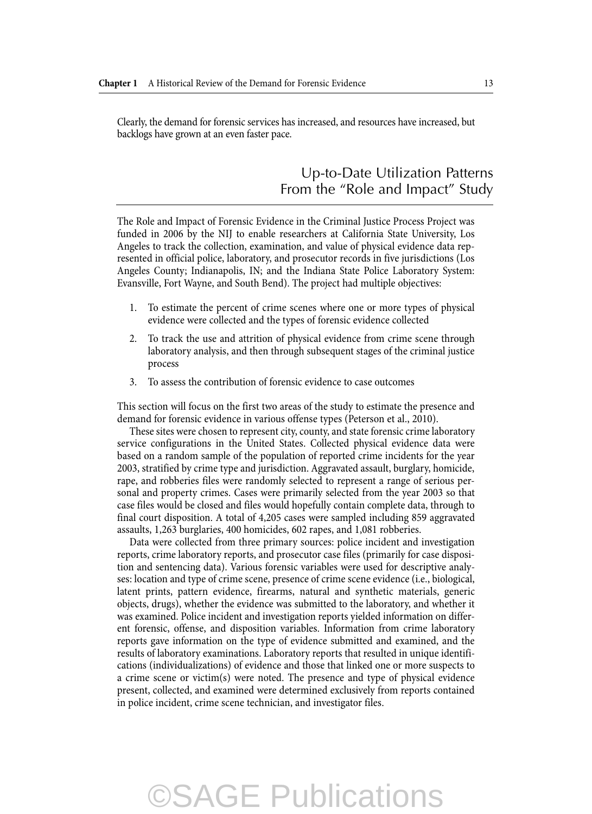Clearly, the demand for forensic services has increased, and resources have increased, but backlogs have grown at an even faster pace.

### Up-to-Date Utilization Patterns From the "Role and Impact" Study

 The Role and Impact of Forensic Evidence in the Criminal Justice Process Project was funded in 2006 by the NIJ to enable researchers at California State University, Los Angeles to track the collection, examination, and value of physical evidence data represented in official police, laboratory, and prosecutor records in five jurisdictions (Los Angeles County; Indianapolis, IN; and the Indiana State Police Laboratory System: Evansville, Fort Wayne, and South Bend). The project had multiple objectives:

- 1. To estimate the percent of crime scenes where one or more types of physical evidence were collected and the types of forensic evidence collected
- 2. To track the use and attrition of physical evidence from crime scene through laboratory analysis, and then through subsequent stages of the criminal justice process
- 3. To assess the contribution of forensic evidence to case outcomes

 This section will focus on the first two areas of the study to estimate the presence and demand for forensic evidence in various offense types (Peterson et al., 2010).

 These sites were chosen to represent city, county, and state forensic crime laboratory service configurations in the United States. Collected physical evidence data were based on a random sample of the population of reported crime incidents for the year 2003, stratified by crime type and jurisdiction. Aggravated assault, burglary, homicide, rape, and robberies files were randomly selected to represent a range of serious personal and property crimes. Cases were primarily selected from the year 2003 so that case files would be closed and files would hopefully contain complete data, through to final court disposition. A total of 4,205 cases were sampled including 859 aggravated assaults, 1,263 burglaries, 400 homicides, 602 rapes, and 1,081 robberies.

 Data were collected from three primary sources: police incident and investigation reports, crime laboratory reports, and prosecutor case files (primarily for case disposition and sentencing data). Various forensic variables were used for descriptive analyses: location and type of crime scene, presence of crime scene evidence (i.e., biological, latent prints, pattern evidence, firearms, natural and synthetic materials, generic objects, drugs), whether the evidence was submitted to the laboratory, and whether it was examined. Police incident and investigation reports yielded information on different forensic, offense, and disposition variables. Information from crime laboratory reports gave information on the type of evidence submitted and examined, and the results of laboratory examinations. Laboratory reports that resulted in unique identifications (individualizations) of evidence and those that linked one or more suspects to a crime scene or victim(s) were noted. The presence and type of physical evidence present, collected, and examined were determined exclusively from reports contained in police incident, crime scene technician, and investigator files.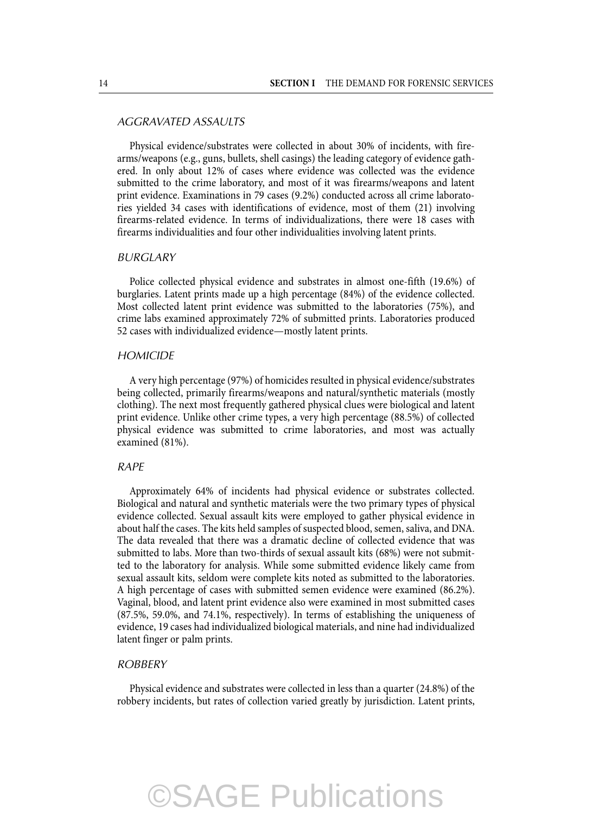#### *AGGRAVATED ASSAULTS*

 Physical evidence/substrates were collected in about 30% of incidents, with firearms/weapons (e.g., guns, bullets, shell casings) the leading category of evidence gathered. In only about 12% of cases where evidence was collected was the evidence submitted to the crime laboratory, and most of it was firearms/weapons and latent print evidence. Examinations in 79 cases (9.2%) conducted across all crime laboratories yielded 34 cases with identifications of evidence, most of them (21) involving firearms-related evidence. In terms of individualizations, there were 18 cases with firearms individualities and four other individualities involving latent prints.

#### *BURGLARY*

 Police collected physical evidence and substrates in almost one-fifth (19.6%) of burglaries. Latent prints made up a high percentage (84%) of the evidence collected. Most collected latent print evidence was submitted to the laboratories (75%), and crime labs examined approximately 72% of submitted prints. Laboratories produced 52 cases with individualized evidence—mostly latent prints.

#### *HOMICIDE*

 A very high percentage (97%) of homicides resulted in physical evidence/substrates being collected, primarily firearms/weapons and natural/synthetic materials (mostly clothing). The next most frequently gathered physical clues were biological and latent print evidence. Unlike other crime types, a very high percentage (88.5%) of collected physical evidence was submitted to crime laboratories, and most was actually examined (81%).

#### *RAPE*

 Approximately 64% of incidents had physical evidence or substrates collected. Biological and natural and synthetic materials were the two primary types of physical evidence collected. Sexual assault kits were employed to gather physical evidence in about half the cases. The kits held samples of suspected blood, semen, saliva, and DNA. The data revealed that there was a dramatic decline of collected evidence that was submitted to labs. More than two-thirds of sexual assault kits (68%) were not submitted to the laboratory for analysis. While some submitted evidence likely came from sexual assault kits, seldom were complete kits noted as submitted to the laboratories. A high percentage of cases with submitted semen evidence were examined (86.2%). Vaginal, blood, and latent print evidence also were examined in most submitted cases (87.5%, 59.0%, and 74.1%, respectively). In terms of establishing the uniqueness of evidence, 19 cases had individualized biological materials, and nine had individualized latent finger or palm prints.

#### *ROBBERY*

 Physical evidence and substrates were collected in less than a quarter (24.8%) of the robbery incidents, but rates of collection varied greatly by jurisdiction. Latent prints,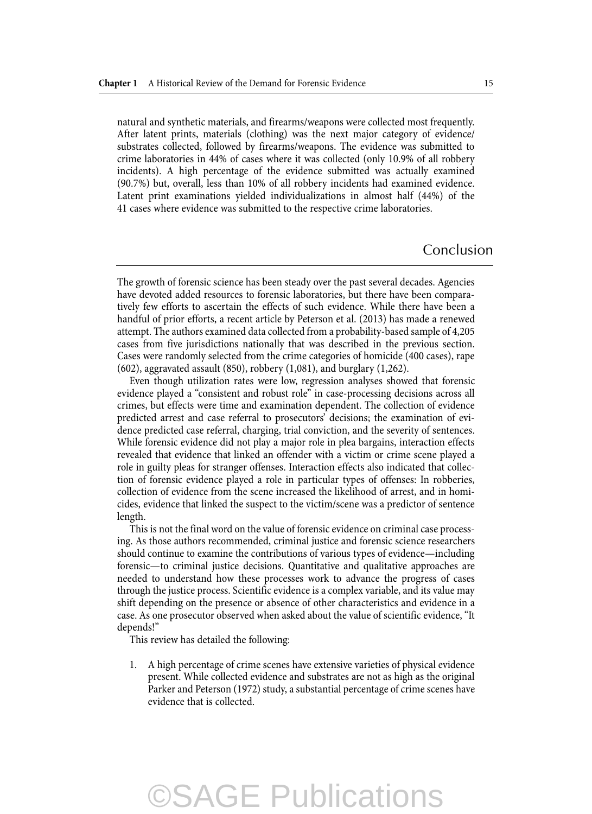natural and synthetic materials, and firearms/weapons were collected most frequently. After latent prints, materials (clothing) was the next major category of evidence/ substrates collected, followed by firearms/weapons. The evidence was submitted to crime laboratories in 44% of cases where it was collected (only 10.9% of all robbery incidents). A high percentage of the evidence submitted was actually examined (90.7%) but, overall, less than 10% of all robbery incidents had examined evidence. Latent print examinations yielded individualizations in almost half (44%) of the 41 cases where evidence was submitted to the respective crime laboratories.

#### Conclusion

 The growth of forensic science has been steady over the past several decades. Agencies have devoted added resources to forensic laboratories, but there have been comparatively few efforts to ascertain the effects of such evidence. While there have been a handful of prior efforts, a recent article by Peterson et al. (2013) has made a renewed attempt. The authors examined data collected from a probability-based sample of 4,205 cases from five jurisdictions nationally that was described in the previous section. Cases were randomly selected from the crime categories of homicide (400 cases), rape (602), aggravated assault (850), robbery (1,081), and burglary (1,262).

 Even though utilization rates were low, regression analyses showed that forensic evidence played a "consistent and robust role" in case-processing decisions across all crimes, but effects were time and examination dependent. The collection of evidence predicted arrest and case referral to prosecutors' decisions; the examination of evidence predicted case referral, charging, trial conviction, and the severity of sentences. While forensic evidence did not play a major role in plea bargains, interaction effects revealed that evidence that linked an offender with a victim or crime scene played a role in guilty pleas for stranger offenses. Interaction effects also indicated that collection of forensic evidence played a role in particular types of offenses: In robberies, collection of evidence from the scene increased the likelihood of arrest, and in homicides, evidence that linked the suspect to the victim/scene was a predictor of sentence length.

 This is not the final word on the value of forensic evidence on criminal case processing. As those authors recommended, criminal justice and forensic science researchers should continue to examine the contributions of various types of evidence—including forensic—to criminal justice decisions. Quantitative and qualitative approaches are needed to understand how these processes work to advance the progress of cases through the justice process. Scientific evidence is a complex variable, and its value may shift depending on the presence or absence of other characteristics and evidence in a case. As one prosecutor observed when asked about the value of scientific evidence, "It depends!"

This review has detailed the following:

 1. A high percentage of crime scenes have extensive varieties of physical evidence present. While collected evidence and substrates are not as high as the original Parker and Peterson (1972) study, a substantial percentage of crime scenes have evidence that is collected.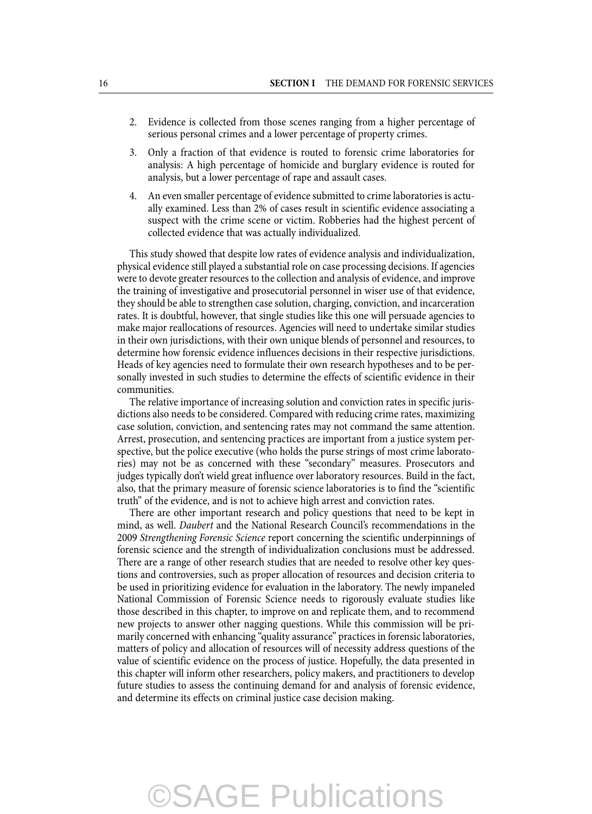- 2. Evidence is collected from those scenes ranging from a higher percentage of serious personal crimes and a lower percentage of property crimes.
- 3. Only a fraction of that evidence is routed to forensic crime laboratories for analysis: A high percentage of homicide and burglary evidence is routed for analysis, but a lower percentage of rape and assault cases.
- 4. An even smaller percentage of evidence submitted to crime laboratories is actually examined. Less than 2% of cases result in scientific evidence associating a suspect with the crime scene or victim. Robberies had the highest percent of collected evidence that was actually individualized.

 This study showed that despite low rates of evidence analysis and individualization, physical evidence still played a substantial role on case processing decisions. If agencies were to devote greater resources to the collection and analysis of evidence, and improve the training of investigative and prosecutorial personnel in wiser use of that evidence, they should be able to strengthen case solution, charging, conviction, and incarceration rates. It is doubtful, however, that single studies like this one will persuade agencies to make major reallocations of resources. Agencies will need to undertake similar studies in their own jurisdictions, with their own unique blends of personnel and resources, to determine how forensic evidence influences decisions in their respective jurisdictions. Heads of key agencies need to formulate their own research hypotheses and to be personally invested in such studies to determine the effects of scientific evidence in their communities.

 The relative importance of increasing solution and conviction rates in specific jurisdictions also needs to be considered. Compared with reducing crime rates, maximizing case solution, conviction, and sentencing rates may not command the same attention. Arrest, prosecution, and sentencing practices are important from a justice system perspective, but the police executive (who holds the purse strings of most crime laboratories) may not be as concerned with these "secondary" measures. Prosecutors and judges typically don't wield great influence over laboratory resources. Build in the fact, also, that the primary measure of forensic science laboratories is to find the "scientific truth" of the evidence, and is not to achieve high arrest and conviction rates.

 There are other important research and policy questions that need to be kept in mind, as well. *Daubert* and the National Research Council's recommendations in the 2009 *Strengthening Forensic Science* report concerning the scientific underpinnings of forensic science and the strength of individualization conclusions must be addressed. There are a range of other research studies that are needed to resolve other key questions and controversies, such as proper allocation of resources and decision criteria to be used in prioritizing evidence for evaluation in the laboratory. The newly impaneled National Commission of Forensic Science needs to rigorously evaluate studies like those described in this chapter, to improve on and replicate them, and to recommend new projects to answer other nagging questions. While this commission will be primarily concerned with enhancing "quality assurance" practices in forensic laboratories, matters of policy and allocation of resources will of necessity address questions of the value of scientific evidence on the process of justice. Hopefully, the data presented in this chapter will inform other researchers, policy makers, and practitioners to develop future studies to assess the continuing demand for and analysis of forensic evidence, and determine its effects on criminal justice case decision making.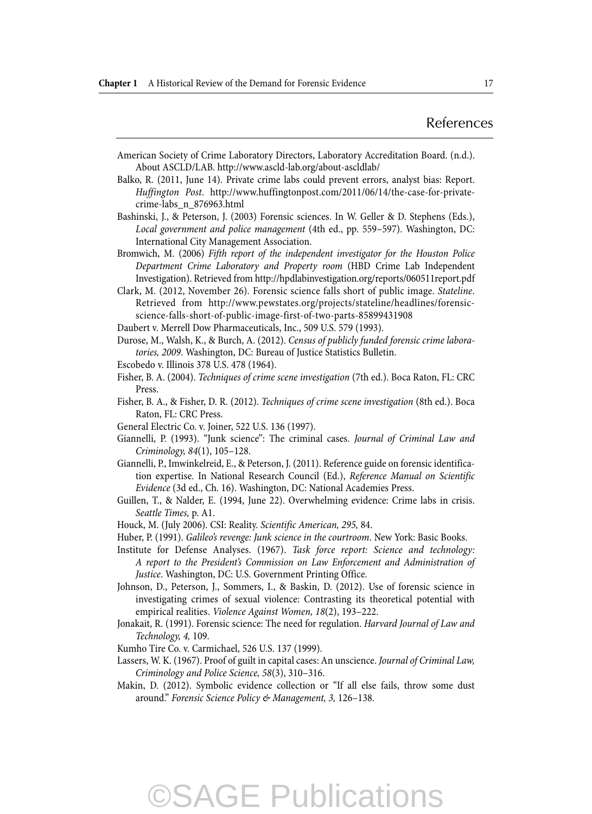#### References

- American Society of Crime Laboratory Directors, Laboratory Accreditation Board. (n.d.). About ASCLD/LAB. http://www.ascld-lab.org/about-ascldlab/
- Balko, R. (2011, June 14). Private crime labs could prevent errors, analyst bias: Report. *Huffington Post* . http://www.huffingtonpost.com/2011/06/14/the-case-for-privatecrime-labs\_n\_876963.html
- Bashinski, J., & Peterson, J. (2003) Forensic sciences. In W. Geller & D. Stephens (Eds.), *Local government and police management* (4th ed., pp. 559–597). Washington, DC: International City Management Association.
- Bromwich, M. (2006) *Fifth report of the independent investigator for the Houston Police Department Crime Laboratory and Property room* (HBD Crime Lab Independent Investigation). Retrieved from http://hpdlabinvestigation.org/reports/060511report.pdf
- Clark, M. (2012, November 26). Forensic science falls short of public image. *Stateline* . Retrieved from http://www.pewstates.org/projects/stateline/headlines/forensicscience-falls-short-of-public-image-first-of-two-parts-85899431908
- Daubert v. Merrell Dow Pharmaceuticals, Inc., 509 U.S. 579 (1993).
- Durose, M., Walsh, K., & Burch, A. (2012). *Census of publicly funded forensic crime laboratories, 2009* . Washington, DC: Bureau of Justice Statistics Bulletin.
- Escobedo v. Illinois 378 U.S. 478 (1964).
- Fisher, B. A. (2004). *Techniques of crime scene investigation* (7th ed.). Boca Raton, FL: CRC Press.
- Fisher, B. A., & Fisher, D. R. (2012). *Techniques of crime scene investigation* (8th ed.). Boca Raton, FL: CRC Press.
- General Electric Co. v. Joiner, 522 U.S. 136 (1997).
- Giannelli, P. (1993). "Junk science": The criminal cases. *Journal of Criminal Law and Criminology, 84* (1), 105–128.
- Giannelli, P., Imwinkelreid, E., & Peterson, J. (2011). Reference guide on forensic identification expertise. In National Research Council (Ed.), *Reference Manual on Scientific Evidence* (3d ed., Ch. 16). Washington, DC: National Academies Press.
- Guillen, T., & Nalder, E. (1994, June 22). Overwhelming evidence: Crime labs in crisis. *Seattle Times,* p. A1.
- Houck, M. (July 2006). CSI: Reality. *Scientific American, 295,* 84.
- Huber, P. (1991). *Galileo's revenge: Junk science in the courtroom*. New York: Basic Books.
- Institute for Defense Analyses. (1967). *Task force report: Science and technology: A report to the President's Commission on Law Enforcement and Administration of Justice* . Washington, DC: U.S. Government Printing Office.
- Johnson, D., Peterson, J., Sommers, I., & Baskin, D. (2012). Use of forensic science in investigating crimes of sexual violence: Contrasting its theoretical potential with empirical realities. *Violence Against Women, 18* (2), 193–222.
- Jonakait, R. (1991). Forensic science: The need for regulation. *Harvard Journal of Law and Technology, 4,* 109.
- Kumho Tire Co. v. Carmichael, 526 U.S. 137 (1999).
- Lassers, W. K. (1967). Proof of guilt in capital cases: An unscience. *Journal of Criminal Law, Criminology and Police Science, 58* (3), 310–316.
- Makin, D. (2012). Symbolic evidence collection or "If all else fails, throw some dust around." *Forensic Science Policy & Management, 3,* 126–138.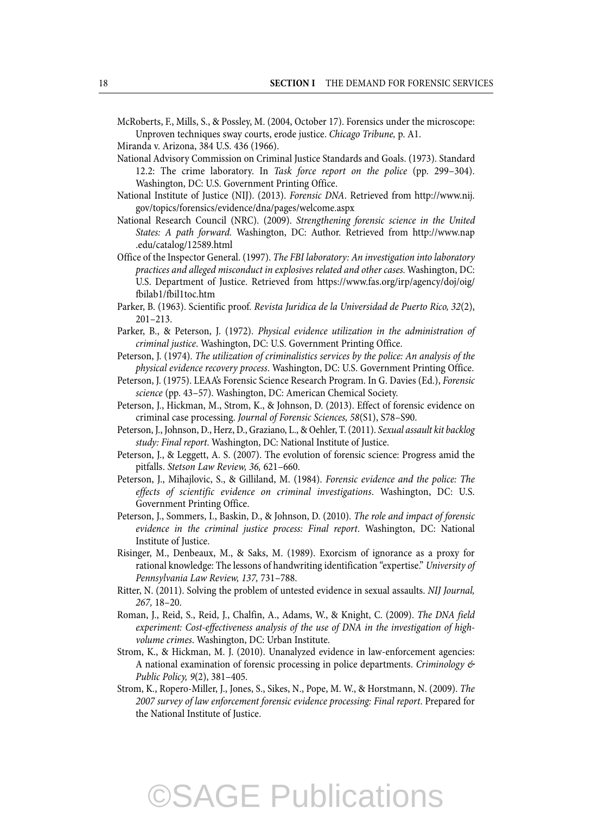McRoberts, F., Mills, S., & Possley, M. (2004, October 17). Forensics under the microscope: Unproven techniques sway courts, erode justice. *Chicago Tribune,* p. A1.

- Miranda v. Arizona, 384 U.S. 436 (1966).
- National Advisory Commission on Criminal Justice Standards and Goals. (1973). Standard 12.2: The crime laboratory. In *Task force report on the police* (pp. 299–304). Washington, DC: U.S. Government Printing Office.
- National Institute of Justice (NIJ). (2013). *Forensic DNA* . Retrieved from http://www.nij. gov/topics/forensics/evidence/dna/pages/welcome.aspx
- National Research Council (NRC). (2009). *Strengthening forensic science in the United States: A path forward.* Washington, DC: Author. Retrieved from http://www.nap .edu/catalog/12589.html
- Office of the Inspector General. (1997). *The FBI laboratory: An investigation into laboratory practices and alleged misconduct in explosives related and other cases.* Washington, DC: U.S. Department of Justice. Retrieved from https://www.fas.org/irp/agency/doj/oig/ fbilab1/fbil1toc.htm
- Parker, B. (1963). Scientific proof *. Revista Juridica de la Universidad de Puerto Rico, 32* (2), 201–213.
- Parker, B., & Peterson, J. (1972). *Physical evidence utilization in the administration of criminal justice* . Washington, DC: U.S. Government Printing Office.
- Peterson, J. (1974). *The utilization of criminalistics services by the police: An analysis of the physical evidence recovery process* . Washington, DC: U.S. Government Printing Office.
- Peterson, J. (1975). LEAA's Forensic Science Research Program. In G. Davies (Ed.), *Forensic science* (pp. 43–57). Washington, DC: American Chemical Society.
- Peterson, J., Hickman, M., Strom, K., & Johnson, D. (2013). Effect of forensic evidence on criminal case processing. *Journal of Forensic Sciences, 58* (S1), S78–S90.
- Peterson, J., Johnson, D., Herz, D., Graziano, L., & Oehler, T. (2011). *Sexual assault kit backlog study: Final report.* Washington, DC: National Institute of Justice.
- Peterson, J., & Leggett, A. S. (2007). The evolution of forensic science: Progress amid the pitfalls. *Stetson Law Review, 36,* 621–660.
- Peterson, J., Mihajlovic, S., & Gilliland, M. (1984). *Forensic evidence and the police: The effects of scientific evidence on criminal investigations* . Washington, DC: U.S. Government Printing Office.
- Peterson, J., Sommers, I., Baskin, D., & Johnson, D. (2010). *The role and impact of forensic evidence in the criminal justice process: Final report* . Washington, DC: National Institute of Justice.
- Risinger, M., Denbeaux, M., & Saks, M. (1989). Exorcism of ignorance as a proxy for rational knowledge: The lessons of handwriting identification "expertise." *University of Pennsylvania Law Review, 137,* 731–788.
- Ritter, N. (2011). Solving the problem of untested evidence in sexual assaults. *NIJ Journal, 267,* 18–20.
- Roman, J., Reid, S., Reid, J., Chalfin, A., Adams, W., & Knight, C. (2009). *The DNA field experiment: Cost-effectiveness analysis of the use of DNA in the investigation of highvolume crimes* . Washington, DC: Urban Institute.
- Strom, K., & Hickman, M. J. (2010). Unanalyzed evidence in law-enforcement agencies: A national examination of forensic processing in police departments. *Criminology & Public Policy, 9(2), 381-405.*
- Strom, K., Ropero-Miller, J., Jones, S., Sikes, N., Pope, M. W., & Horstmann, N. (2009). *The 2007 survey of law enforcement forensic evidence processing: Final report* . Prepared for the National Institute of Justice.